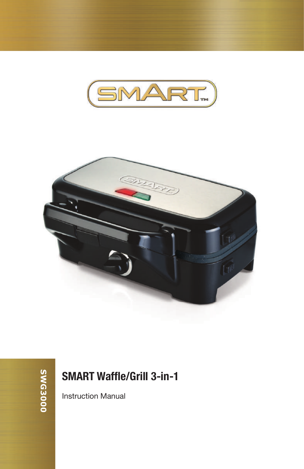



### **SMART Waffle/Grill 3-in-1**

Instruction Manual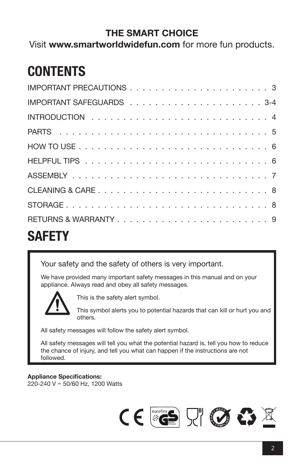### **THE SMART CHOICE**

Visit **www.smartworldwidefun.com** for more fun products.

### **CONTENTS**

| <b>SAFETY</b>       |  |
|---------------------|--|
| RETURNS & WARRANTY9 |  |
|                     |  |
|                     |  |
|                     |  |
|                     |  |
|                     |  |
|                     |  |
|                     |  |
|                     |  |
|                     |  |

Your safety and the safety of others is very important.

We have provided many important safety messages in this manual and on your appliance. Always read and obey all safety messages.



This is the safety alert symbol.

This symbol alerts you to potential hazards that can kill or hurt you and others.

All safety messages will follow the safety alert symbol.

All safety messages will tell you what the potential hazard is, tell you how to reduce the chance of injury, and tell you what can happen if the instructions are not followed.

**Appliance Specifications:** 220-240 V ~ 50/60 Hz, 1200 Watts

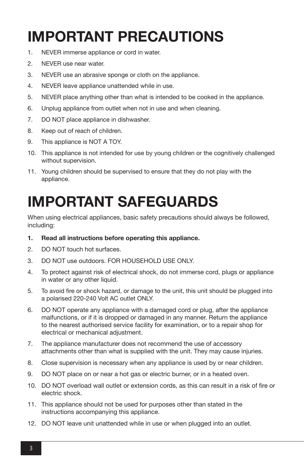# **IMPORTANT PRECAUTIONS**

- 1. NEVER immerse appliance or cord in water.
- 2. NEVER use near water.
- 3. NEVER use an abrasive sponge or cloth on the appliance.
- 4. NEVER leave appliance unattended while in use.
- 5. NEVER place anything other than what is intended to be cooked in the appliance.
- 6. Unplug appliance from outlet when not in use and when cleaning.
- 7. DO NOT place appliance in dishwasher.
- 8. Keep out of reach of children.
- 9. This appliance is NOT A TOY.
- 10. This appliance is not intended for use by young children or the cognitively challenged without supervision.
- 11. Young children should be supervised to ensure that they do not play with the appliance.

## **IMPORTANT SAFEGUARDS**

When using electrical appliances, basic safety precautions should always be followed, including:

- **1. Read all instructions before operating this appliance.**
- 2. DO NOT touch hot surfaces.
- 3. DO NOT use outdoors. FOR HOUSEHOLD USE ONLY.
- 4. To protect against risk of electrical shock, do not immerse cord, plugs or appliance in water or any other liquid.
- 5. To avoid fire or shock hazard, or damage to the unit, this unit should be plugged into a polarised 220-240 Volt AC outlet ONLY.
- 6. DO NOT operate any appliance with a damaged cord or plug, after the appliance malfunctions, or if it is dropped or damaged in any manner. Return the appliance to the nearest authorised service facility for examination, or to a repair shop for electrical or mechanical adjustment.
- 7. The appliance manufacturer does not recommend the use of accessory attachments other than what is supplied with the unit. They may cause injuries.
- 8. Close supervision is necessary when any appliance is used by or near children.
- 9. DO NOT place on or near a hot gas or electric burner, or in a heated oven.
- 10. DO NOT overload wall outlet or extension cords, as this can result in a risk of fire or electric shock.
- 11. This appliance should not be used for purposes other than stated in the instructions accompanying this appliance.
- 12. DO NOT leave unit unattended while in use or when plugged into an outlet.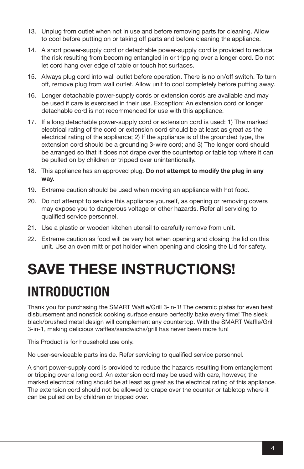- 13. Unplug from outlet when not in use and before removing parts for cleaning. Allow to cool before putting on or taking off parts and before cleaning the appliance.
- 14. A short power-supply cord or detachable power-supply cord is provided to reduce the risk resulting from becoming entangled in or tripping over a longer cord. Do not let cord hang over edge of table or touch hot surfaces.
- 15. Always plug cord into wall outlet before operation. There is no on/off switch. To turn off, remove plug from wall outlet. Allow unit to cool completely before putting away.
- 16. Longer detachable power-supply cords or extension cords are available and may be used if care is exercised in their use. Exception: An extension cord or longer detachable cord is not recommended for use with this appliance.
- 17. If a long detachable power-supply cord or extension cord is used: 1) The marked electrical rating of the cord or extension cord should be at least as great as the electrical rating of the appliance; 2) If the appliance is of the grounded type, the extension cord should be a grounding 3-wire cord; and 3) The longer cord should be arranged so that it does not drape over the countertop or table top where it can be pulled on by children or tripped over unintentionally.
- 18. This appliance has an approved plug. **Do not attempt to modify the plug in any way.**
- 19. Extreme caution should be used when moving an appliance with hot food.
- 20. Do not attempt to service this appliance yourself, as opening or removing covers may expose you to dangerous voltage or other hazards. Refer all servicing to qualified service personnel.
- 21. Use a plastic or wooden kitchen utensil to carefully remove from unit.
- 22. Extreme caution as food will be very hot when opening and closing the lid on this unit. Use an oven mitt or pot holder when opening and closing the Lid for safety.

# **SAVE THESE INSTRUCTIONS! INTRODUCTION**

Thank you for purchasing the SMART Waffle/Grill 3-in-1! The ceramic plates for even heat disbursement and nonstick cooking surface ensure perfectly bake every time! The sleek black/brushed metal design will complement any countertop. With the SMART Waffle/Grill 3-in-1, making delicious waffles/sandwichs/grill has never been more fun!

This Product is for household use only.

No user-serviceable parts inside. Refer servicing to qualified service personnel.

A short power-supply cord is provided to reduce the hazards resulting from entanglement or tripping over a long cord. An extension cord may be used with care, however, the marked electrical rating should be at least as great as the electrical rating of this appliance. The extension cord should not be allowed to drape over the counter or tabletop where it can be pulled on by children or tripped over.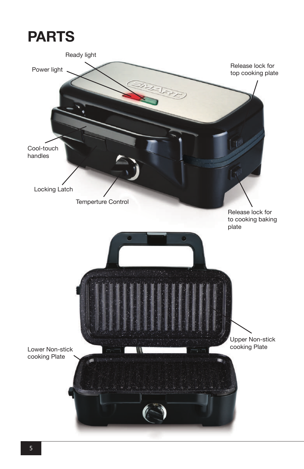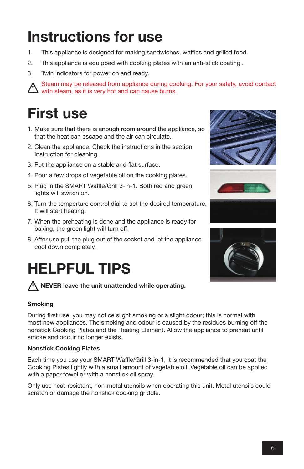# **Instructions for use**

- 1. This appliance is designed for making sandwiches, waffles and grilled food.
- 2. This appliance is equipped with cooking plates with an anti-stick coating .
- 3. Twin indicators for power on and ready.

 Steam may be released from appliance during cooking. For your safety, avoid contact with steam, as it is very hot and can cause burns.

## **First use**

- 1. Make sure that there is enough room around the appliance, so that the heat can escape and the air can circulate.
- 2. Clean the appliance. Check the instructions in the section Instruction for cleaning.
- 3. Put the appliance on a stable and flat surface.
- 4. Pour a few drops of vegetable oil on the cooking plates.
- 5. Plug in the SMART Waffle/Grill 3-in-1. Both red and green lights will switch on.
- 6. Turn the temperture control dial to set the desired temperature. It will start heating.
- 7. When the preheating is done and the appliance is ready for baking, the green light will turn off.
- 8. After use pull the plug out of the socket and let the appliance cool down completely.

# **HELPFUL TIPS**

### **NEVER leave the unit unattended while operating.**

### **Smoking**

During first use, you may notice slight smoking or a slight odour; this is normal with most new appliances. The smoking and odour is caused by the residues burning off the nonstick Cooking Plates and the Heating Element. Allow the appliance to preheat until smoke and odour no longer exists.

### **Nonstick Cooking Plates**

Each time you use your SMART Waffle/Grill 3-in-1, it is recommended that you coat the Cooking Plates lightly with a small amount of vegetable oil. Vegetable oil can be applied with a paper towel or with a nonstick oil spray.

Only use heat-resistant, non-metal utensils when operating this unit. Metal utensils could scratch or damage the nonstick cooking griddle.







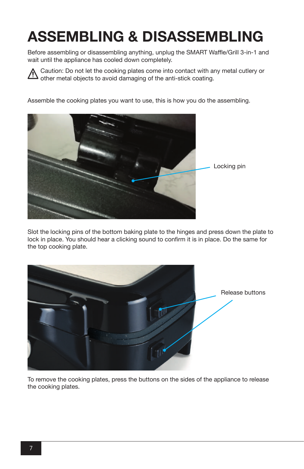# **ASSEMBLING & DISASSEMBLING**

Before assembling or disassembling anything, unplug the SMART Waffle/Grill 3-in-1 and wait until the appliance has cooled down completely.

Caution: Do not let the cooking plates come into contact with any metal cutlery or <u>/\</u> other metal objects to avoid damaging of the anti-stick coating.

Assemble the cooking plates you want to use, this is how you do the assembling.



Slot the locking pins of the bottom baking plate to the hinges and press down the plate to lock in place. You should hear a clicking sound to confirm it is in place. Do the same for the top cooking plate.



To remove the cooking plates, press the buttons on the sides of the appliance to release the cooking plates.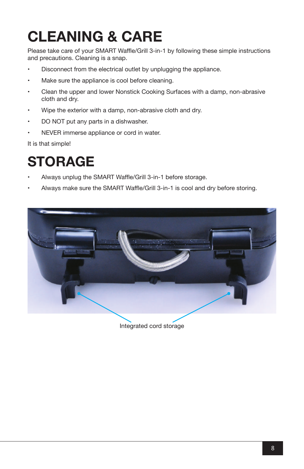# **CLEANING & CARE**

Please take care of your SMART Waffle/Grill 3-in-1 by following these simple instructions and precautions. Cleaning is a snap.

- Disconnect from the electrical outlet by unplugging the appliance.
- Make sure the appliance is cool before cleaning.
- Clean the upper and lower Nonstick Cooking Surfaces with a damp, non-abrasive cloth and dry.
- Wipe the exterior with a damp, non-abrasive cloth and dry.
- DO NOT put any parts in a dishwasher.
- NEVER immerse appliance or cord in water.

It is that simple!

### **STORAGE**

- Always unplug the SMART Waffle/Grill 3-in-1 before storage.
- Always make sure the SMART Waffle/Grill 3-in-1 is cool and dry before storing.



Integrated cord storage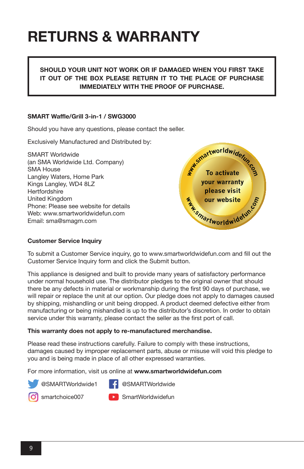### **RETURNS & WARRANTY**

### **SHOULD YOUR UNIT NOT WORK OR IF DAMAGED WHEN YOU FIRST TAKE IT OUT OF THE BOX PLEASE RETURN IT TO THE PLACE OF PURCHASE IMMEDIATELY WITH THE PROOF OF PURCHASE.**

### **SMART Waffle/Grill 3-in-1 / SWG3000**

Should you have any questions, please contact the seller.

Exclusively Manufactured and Distributed by:

SMART Worldwide (an SMA Worldwide Ltd. Company) SMA House Langley Waters, Home Park Kings Langley, WD4 8LZ **Hertfordshire** United Kingdom Phone: Please see website for details Web: www.smartworldwidefun.com Email: sma@smagm.com



#### **Customer Service Inquiry**

To submit a Customer Service inquiry, go to www.smartworldwidefun.com and fill out the Customer Service Inquiry form and click the Submit button.

This appliance is designed and built to provide many years of satisfactory performance under normal household use. The distributor pledges to the original owner that should there be any defects in material or workmanship during the first 90 days of purchase, we will repair or replace the unit at our option. Our pledge does not apply to damages caused by shipping, mishandling or unit being dropped. A product deemed defective either from manufacturing or being mishandled is up to the distributor's discretion. In order to obtain service under this warranty, please contact the seller as the first port of call.

#### **This warranty does not apply to re-manufactured merchandise.**

Please read these instructions carefully. Failure to comply with these instructions, damages caused by improper replacement parts, abuse or misuse will void this pledge to you and is being made in place of all other expressed warranties.

For more information, visit us online at **www.smartworldwidefun.com**



@SMARTWorldwide1 F @SMARTWorldwide



smartchoice007 **SmartWorldwidefun**